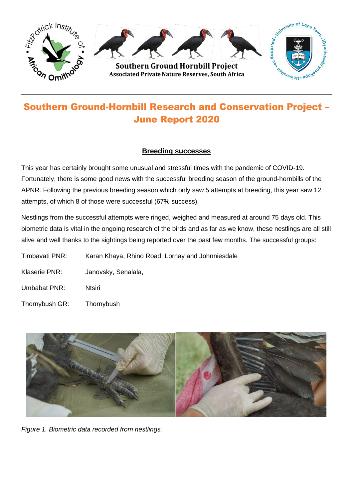

# **Southern Ground-Hornbill Research and Conservation Project -June Report 2020**

## **Breeding successes**

This year has certainly brought some unusual and stressful times with the pandemic of COVID-19. Fortunately, there is some good news with the successful breeding season of the ground-hornbills of the APNR. Following the previous breeding season which only saw 5 attempts at breeding, this year saw 12 attempts, of which 8 of those were successful (67% success).

Nestlings from the successful attempts were ringed, weighed and measured at around 75 days old. This biometric data is vital in the ongoing research of the birds and as far as we know, these nestlings are all still alive and well thanks to the sightings being reported over the past few months. The successful groups:

Timbavati PNR: Karan Khaya, Rhino Road, Lornay and Johnniesdale

- Klaserie PNR: Janovsky, Senalala,
- Umbabat PNR: Ntsiri
- Thornybush GR: Thornybush



*Figure 1. Biometric data recorded from nestlings.*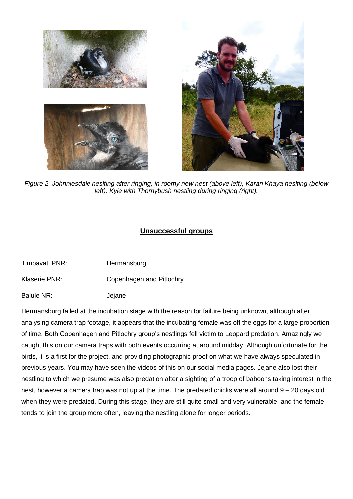

*Figure 2. Johnniesdale neslting after ringing, in roomy new nest (above left), Karan Khaya neslting (below left), Kyle with Thornybush nestling during ringing (right).*

# **Unsuccessful groups**

- Timbavati PNR: Hermansburg
- Klaserie PNR: Copenhagen and Pitlochry
- Balule NR: **Jejane**

Hermansburg failed at the incubation stage with the reason for failure being unknown, although after analysing camera trap footage, it appears that the incubating female was off the eggs for a large proportion of time. Both Copenhagen and Pitlochry group's nestlings fell victim to Leopard predation. Amazingly we caught this on our camera traps with both events occurring at around midday. Although unfortunate for the birds, it is a first for the project, and providing photographic proof on what we have always speculated in previous years. You may have seen the videos of this on our social media pages. Jejane also lost their nestling to which we presume was also predation after a sighting of a troop of baboons taking interest in the nest, however a camera trap was not up at the time. The predated chicks were all around 9 – 20 days old when they were predated. During this stage, they are still quite small and very vulnerable, and the female tends to join the group more often, leaving the nestling alone for longer periods.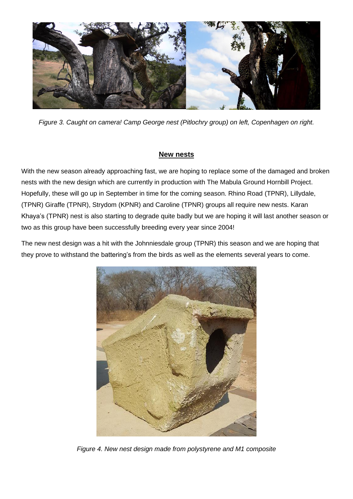

*Figure 3. Caught on camera! Camp George nest (Pitlochry group) on left, Copenhagen on right.*

## **New nests**

With the new season already approaching fast, we are hoping to replace some of the damaged and broken nests with the new design which are currently in production with The Mabula Ground Hornbill Project. Hopefully, these will go up in September in time for the coming season. Rhino Road (TPNR), Lillydale, (TPNR) Giraffe (TPNR), Strydom (KPNR) and Caroline (TPNR) groups all require new nests. Karan Khaya's (TPNR) nest is also starting to degrade quite badly but we are hoping it will last another season or two as this group have been successfully breeding every year since 2004!

The new nest design was a hit with the Johnniesdale group (TPNR) this season and we are hoping that they prove to withstand the battering's from the birds as well as the elements several years to come.



*Figure 4. New nest design made from polystyrene and M1 composite*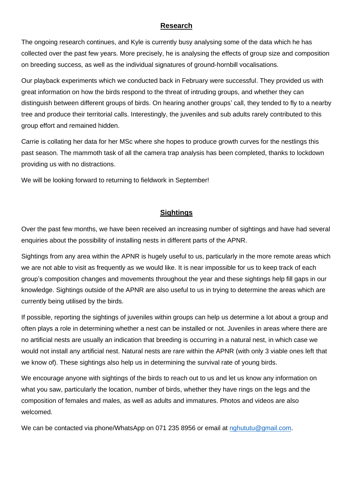### **Research**

The ongoing research continues, and Kyle is currently busy analysing some of the data which he has collected over the past few years. More precisely, he is analysing the effects of group size and composition on breeding success, as well as the individual signatures of ground-hornbill vocalisations.

Our playback experiments which we conducted back in February were successful. They provided us with great information on how the birds respond to the threat of intruding groups, and whether they can distinguish between different groups of birds. On hearing another groups' call, they tended to fly to a nearby tree and produce their territorial calls. Interestingly, the juveniles and sub adults rarely contributed to this group effort and remained hidden.

Carrie is collating her data for her MSc where she hopes to produce growth curves for the nestlings this past season. The mammoth task of all the camera trap analysis has been completed, thanks to lockdown providing us with no distractions.

We will be looking forward to returning to fieldwork in September!

#### **Sightings**

Over the past few months, we have been received an increasing number of sightings and have had several enquiries about the possibility of installing nests in different parts of the APNR.

Sightings from any area within the APNR is hugely useful to us, particularly in the more remote areas which we are not able to visit as frequently as we would like. It is near impossible for us to keep track of each group's composition changes and movements throughout the year and these sightings help fill gaps in our knowledge. Sightings outside of the APNR are also useful to us in trying to determine the areas which are currently being utilised by the birds.

If possible, reporting the sightings of juveniles within groups can help us determine a lot about a group and often plays a role in determining whether a nest can be installed or not. Juveniles in areas where there are no artificial nests are usually an indication that breeding is occurring in a natural nest, in which case we would not install any artificial nest. Natural nests are rare within the APNR (with only 3 viable ones left that we know of). These sightings also help us in determining the survival rate of young birds.

We encourage anyone with sightings of the birds to reach out to us and let us know any information on what you saw, particularly the location, number of birds, whether they have rings on the legs and the composition of females and males, as well as adults and immatures. Photos and videos are also welcomed.

We can be contacted via phone/WhatsApp on 071 235 8956 or email at [nghututu@gmail.com.](mailto:nghututu@gmail.com)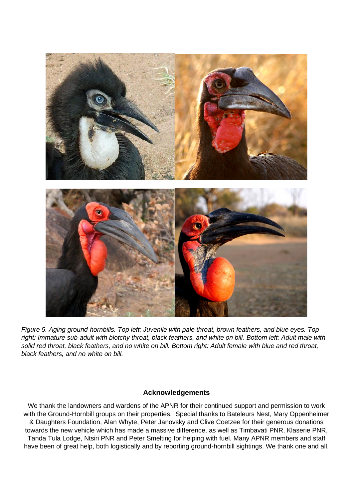

*Figure 5. Aging ground-hornbills. Top left: Juvenile with pale throat, brown feathers, and blue eyes. Top right: Immature sub-adult with blotchy throat, black feathers, and white on bill. Bottom left: Adult male with solid red throat, black feathers, and no white on bill. Bottom right: Adult female with blue and red throat, black feathers, and no white on bill.*

#### **Acknowledgements**

We thank the landowners and wardens of the APNR for their continued support and permission to work with the Ground-Hornbill groups on their properties. Special thanks to Bateleurs Nest, Mary Oppenheimer & Daughters Foundation, Alan Whyte, Peter Janovsky and Clive Coetzee for their generous donations towards the new vehicle which has made a massive difference, as well as Timbavati PNR, Klaserie PNR, Tanda Tula Lodge, Ntsiri PNR and Peter Smelting for helping with fuel. Many APNR members and staff have been of great help, both logistically and by reporting ground-hornbill sightings. We thank one and all.